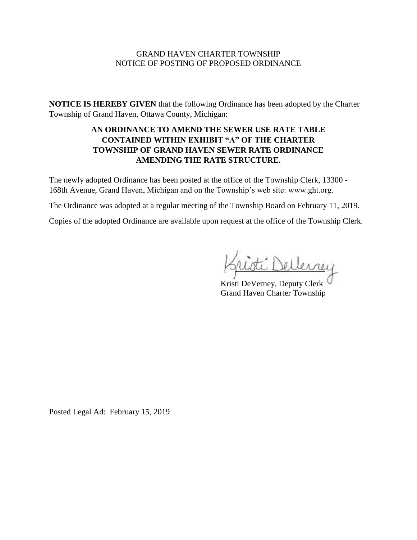#### GRAND HAVEN CHARTER TOWNSHIP NOTICE OF POSTING OF PROPOSED ORDINANCE

**NOTICE IS HEREBY GIVEN** that the following Ordinance has been adopted by the Charter Township of Grand Haven, Ottawa County, Michigan:

## **AN ORDINANCE TO AMEND THE SEWER USE RATE TABLE CONTAINED WITHIN EXHIBIT "A" OF THE CHARTER TOWNSHIP OF GRAND HAVEN SEWER RATE ORDINANCE AMENDING THE RATE STRUCTURE.**

The newly adopted Ordinance has been posted at the office of the Township Clerk, 13300 - 168th Avenue, Grand Haven, Michigan and on the Township's web site: www.ght.org.

The Ordinance was adopted at a regular meeting of the Township Board on February 11, 2019.

Copies of the adopted Ordinance are available upon request at the office of the Township Clerk.

ellerney

Kristi DeVerney, Deputy Clerk Grand Haven Charter Township

Posted Legal Ad: February 15, 2019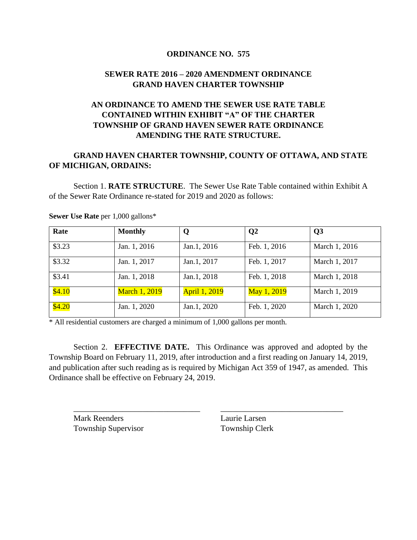### **ORDINANCE NO. 575**

## **SEWER RATE 2016 – 2020 AMENDMENT ORDINANCE GRAND HAVEN CHARTER TOWNSHIP**

# **AN ORDINANCE TO AMEND THE SEWER USE RATE TABLE CONTAINED WITHIN EXHIBIT "A" OF THE CHARTER TOWNSHIP OF GRAND HAVEN SEWER RATE ORDINANCE AMENDING THE RATE STRUCTURE.**

## **GRAND HAVEN CHARTER TOWNSHIP, COUNTY OF OTTAWA, AND STATE OF MICHIGAN, ORDAINS:**

Section 1. **RATE STRUCTURE**. The Sewer Use Rate Table contained within Exhibit A of the Sewer Rate Ordinance re-stated for 2019 and 2020 as follows:

| Rate   | <b>Monthly</b>       | Q                    | $\mathbf{Q}$ | Q3            |
|--------|----------------------|----------------------|--------------|---------------|
| \$3.23 | Jan. 1, 2016         | Jan.1, 2016          | Feb. 1, 2016 | March 1, 2016 |
| \$3.32 | Jan. 1, 2017         | Jan.1, 2017          | Feb. 1, 2017 | March 1, 2017 |
| \$3.41 | Jan. 1, 2018         | Jan.1, 2018          | Feb. 1, 2018 | March 1, 2018 |
| \$4.10 | <b>March 1, 2019</b> | <b>April 1, 2019</b> | May 1, 2019  | March 1, 2019 |
| \$4.20 | Jan. 1, 2020         | Jan.1, 2020          | Feb. 1, 2020 | March 1, 2020 |

**Sewer Use Rate** per 1,000 gallons\*

\* All residential customers are charged a minimum of 1,000 gallons per month.

Section 2. **EFFECTIVE DATE.** This Ordinance was approved and adopted by the Township Board on February 11, 2019, after introduction and a first reading on January 14, 2019, and publication after such reading as is required by Michigan Act 359 of 1947, as amended. This Ordinance shall be effective on February 24, 2019.

\_\_\_\_\_\_\_\_\_\_\_\_\_\_\_\_\_\_\_\_\_\_\_\_\_\_\_\_\_\_\_ \_\_\_\_\_\_\_\_\_\_\_\_\_\_\_\_\_\_\_\_\_\_\_\_\_\_\_\_\_\_

Mark Reenders Laurie Larsen Township Supervisor Township Clerk